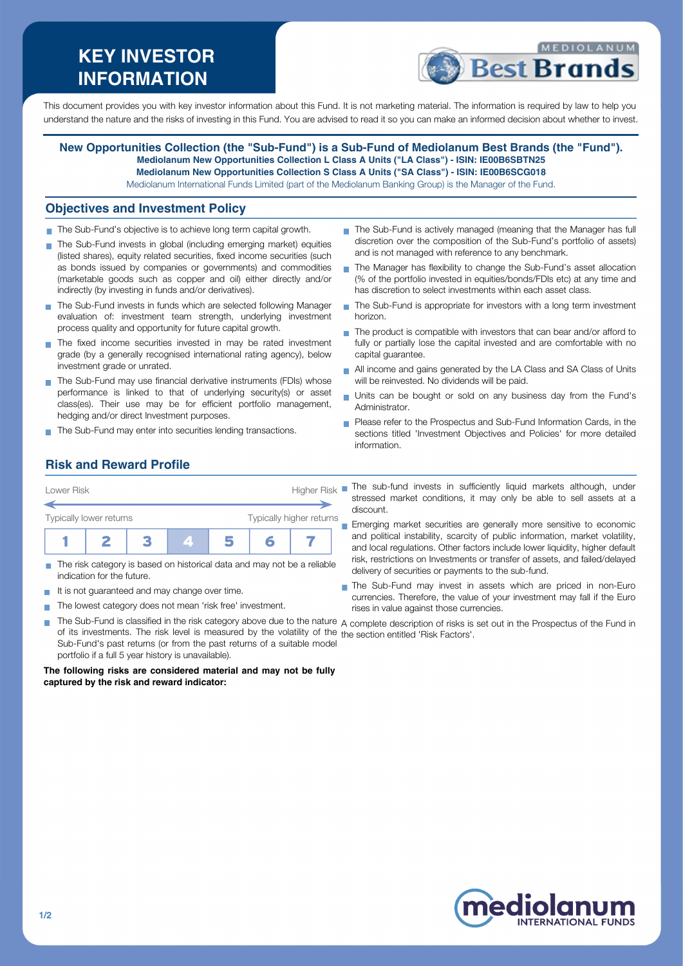# **KEY INVESTOR INFORMATION**



This document provides you with key investor information about this Fund. It is not marketing material. The information is required by law to help you understand the nature and the risks of investing in this Fund. You are advised to read it so you can make an informed decision about whether to invest.

**New Opportunities Collection (the "Sub-Fund") is a Sub-Fund of Mediolanum Best Brands (the "Fund"). Mediolanum New Opportunities Collection L Class A Units ("LA Class") - ISIN: IE00B6SBTN25 Mediolanum New Opportunities Collection S Class A Units ("SA Class") - ISIN: IE00B6SCG018** Mediolanum International Funds Limited (part of the Mediolanum Banking Group) is the Manager of the Fund.

#### **Objectives and Investment Policy**

- The Sub-Fund's objective is to achieve long term capital growth.
- The Sub-Fund invests in global (including emerging market) equities (listed shares), equity related securities, fixed income securities (such as bonds issued by companies or governments) and commodities (marketable goods such as copper and oil) either directly and/or indirectly (by investing in funds and/or derivatives).
- The Sub-Fund invests in funds which are selected following Manager evaluation of: investment team strength, underlying investment process quality and opportunity for future capital growth.
- The fixed income securities invested in may be rated investment grade (by a generally recognised international rating agency), below investment grade or unrated.
- The Sub-Fund may use financial derivative instruments (FDIs) whose performance is linked to that of underlying security(s) or asset class(es). Their use may be for efficient portfolio management, hedging and/or direct Investment purposes.
- The Sub-Fund may enter into securities lending transactions.
- The Sub-Fund is actively managed (meaning that the Manager has full discretion over the composition of the Sub-Fund's portfolio of assets) and is not managed with reference to any benchmark.
- The Manager has flexibility to change the Sub-Fund's asset allocation (% of the portfolio invested in equities/bonds/FDIs etc) at any time and has discretion to select investments within each asset class.
- The Sub-Fund is appropriate for investors with a long term investment horizon.
- $\blacksquare$  The product is compatible with investors that can bear and/or afford to fully or partially lose the capital invested and are comfortable with no capital guarantee.
- All income and gains generated by the LA Class and SA Class of Units will be reinvested. No dividends will be paid.
- Units can be bought or sold on any business day from the Fund's Administrator.
- **Please refer to the Prospectus and Sub-Fund Information Cards, in the** sections titled 'Investment Objectives and Policies' for more detailed information.

# **Risk and Reward Profile**

| Lower Risk              | <b>Higher Risk</b> |  |  |  |                          |  |
|-------------------------|--------------------|--|--|--|--------------------------|--|
| Typically lower returns |                    |  |  |  | Typically higher returns |  |
|                         |                    |  |  |  |                          |  |

- The risk category is based on historical data and may not be a reliable indication for the future.
- It is not guaranteed and may change over time.  $\mathcal{L}_{\mathcal{A}}$
- The lowest category does not mean 'risk free' investment.  $\mathbf{r}$
- The sub-fund invests in sufficiently liquid markets although, under stressed market conditions, it may only be able to sell assets at a discount.
- **Emerging market securities are generally more sensitive to economic** and political instability, scarcity of public information, market volatility, and local regulations. Other factors include lower liquidity, higher default risk, restrictions on Investments or transfer of assets, and failed/delayed delivery of securities or payments to the sub-fund.
- The Sub-Fund may invest in assets which are priced in non-Euro currencies. Therefore, the value of your investment may fall if the Euro rises in value against those currencies.
- The Sub-Fund is classified in the risk category above due to the nature  $\,$  complete description of risks is set out in the Prospectus of the Fund in of its investments. The risk level is measured by the volatility of the the section entitled 'Risk Factors'.Sub-Fund's past returns (or from the past returns of a suitable model portfolio if a full 5 year history is unavailable).

**The following risks are considered material and may not be fully captured by the risk and reward indicator:**

 $\overline{\phantom{a}}$